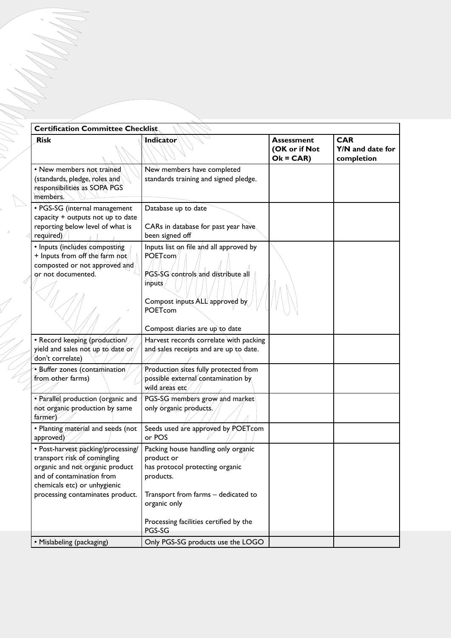| Certification Committee Checklist<br>Rísk                                                                                                                          | <b>Indicator</b>                                                                                                                                                                         | Assessment                  | <b>CAR</b>                     |
|--------------------------------------------------------------------------------------------------------------------------------------------------------------------|------------------------------------------------------------------------------------------------------------------------------------------------------------------------------------------|-----------------------------|--------------------------------|
|                                                                                                                                                                    |                                                                                                                                                                                          | (OK or if Not<br>$Ok = CAR$ | Y/N and date for<br>completion |
| • New members not trained<br>(standards, pledge, roles and $\langle$<br>responsibilities as SOPA PGS<br>members.                                                   | New members have completed<br>standards training and signed pledge.                                                                                                                      |                             |                                |
| · PGS-SG (internal management<br>capacity + outputs not up to date<br>reporting below level of what is<br>required)                                                | Database up to date<br>CARs in database for past year have<br>been signed off                                                                                                            |                             |                                |
| · Inputs (includes composting<br>$+$ Inputs from off the farm not/<br>composted or not approved and<br>or not documented.                                          | Inputs list on file and all approved by<br>POETcom<br>PGS-SG/controls/and distribute all<br>inputs<br>Compost inputs ALL approved by<br><b>POETcom</b><br>Compost diaries are up to date |                             |                                |
| · Record keeping (production/<br>yield and sales not up to date or<br>don't correlate)                                                                             | Harvest records correlate with packing<br>and sales receipts and are up to date.                                                                                                         |                             |                                |
| $\bullet$ Buffer zones (contamination)<br>from other farms)                                                                                                        | Production sites fully protected from<br>possible external contamination by<br>wild areas etc.                                                                                           |                             |                                |
| · Parallel production (organic and<br>not organic production by same<br>farmer)                                                                                    | PGS-SG members grow and market<br>only organic products.                                                                                                                                 |                             |                                |
| · Planting material and seeds (not<br>approved)                                                                                                                    | Seeds used are approved by POET com<br>or POS                                                                                                                                            |                             |                                |
| · Post-harvest packing/processing/<br>transport risk of comingling<br>organic and not organic product<br>and of contamination from<br>chemicals etc) or unhygienic | Packing house handling only organic<br>product or<br>has protocol protecting organic<br>products.                                                                                        |                             |                                |
| processing contaminates product.                                                                                                                                   | Transport from farms - dedicated to<br>organic only                                                                                                                                      |                             |                                |
|                                                                                                                                                                    | Processing facilities certified by the<br>PGS-SG                                                                                                                                         |                             |                                |
| • Mislabeling (packaging)                                                                                                                                          | Only PGS-SG products use the LOGO                                                                                                                                                        |                             |                                |